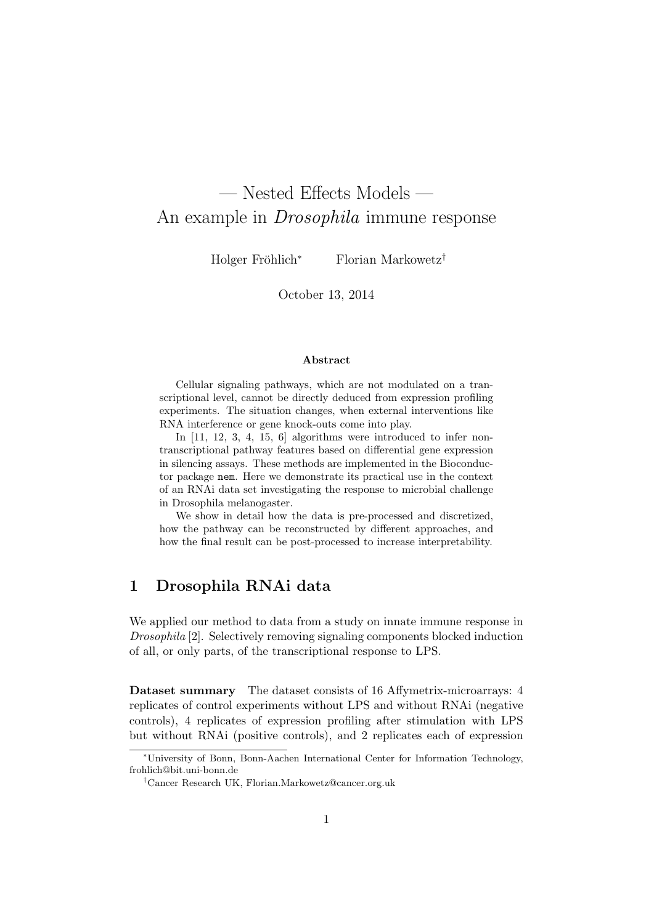# — Nested Effects Models — An example in Drosophila immune response

Holger Fröhlich<sup>∗</sup> Florian Markowetz<sup>†</sup>

October 13, 2014

#### Abstract

Cellular signaling pathways, which are not modulated on a transcriptional level, cannot be directly deduced from expression profiling experiments. The situation changes, when external interventions like RNA interference or gene knock-outs come into play.

In [11, 12, 3, 4, 15, 6] algorithms were introduced to infer nontranscriptional pathway features based on differential gene expression in silencing assays. These methods are implemented in the Bioconductor package nem. Here we demonstrate its practical use in the context of an RNAi data set investigating the response to microbial challenge in Drosophila melanogaster.

We show in detail how the data is pre-processed and discretized, how the pathway can be reconstructed by different approaches, and how the final result can be post-processed to increase interpretability.

# 1 Drosophila RNAi data

We applied our method to data from a study on innate immune response in Drosophila [2]. Selectively removing signaling components blocked induction of all, or only parts, of the transcriptional response to LPS.

Dataset summary The dataset consists of 16 Affymetrix-microarrays: 4 replicates of control experiments without LPS and without RNAi (negative controls), 4 replicates of expression profiling after stimulation with LPS but without RNAi (positive controls), and 2 replicates each of expression

<sup>∗</sup>University of Bonn, Bonn-Aachen International Center for Information Technology, frohlich@bit.uni-bonn.de

<sup>†</sup>Cancer Research UK, Florian.Markowetz@cancer.org.uk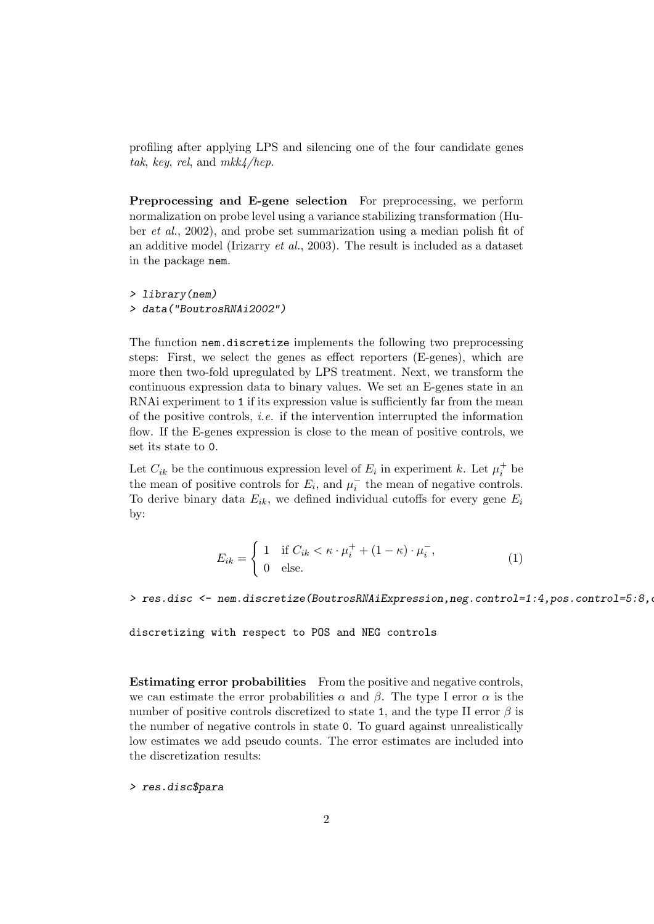profiling after applying LPS and silencing one of the four candidate genes tak, key, rel, and  $mkk/hep$ .

Preprocessing and E-gene selection For preprocessing, we perform normalization on probe level using a variance stabilizing transformation (Huber et al., 2002), and probe set summarization using a median polish fit of an additive model (Irizarry et al., 2003). The result is included as a dataset in the package nem.

> library(nem) > data("BoutrosRNAi2002")

The function nem.discretize implements the following two preprocessing steps: First, we select the genes as effect reporters (E-genes), which are more then two-fold upregulated by LPS treatment. Next, we transform the continuous expression data to binary values. We set an E-genes state in an RNAi experiment to 1 if its expression value is sufficiently far from the mean of the positive controls, *i.e.* if the intervention interrupted the information flow. If the E-genes expression is close to the mean of positive controls, we set its state to 0.

Let  $C_{ik}$  be the continuous expression level of  $E_i$  in experiment k. Let  $\mu_i^+$  be the mean of positive controls for  $E_i$ , and  $\mu_i^-$  the mean of negative controls. To derive binary data  $E_{ik}$ , we defined individual cutoffs for every gene  $E_i$ by:

$$
E_{ik} = \begin{cases} 1 & \text{if } C_{ik} < \kappa \cdot \mu_i^+ + (1 - \kappa) \cdot \mu_i^-, \\ 0 & \text{else.} \end{cases}
$$
 (1)

> res.disc <- nem.discretize(BoutrosRNAiExpression,neg.control=1:4,pos.control=5:8,

discretizing with respect to POS and NEG controls

Estimating error probabilities From the positive and negative controls, we can estimate the error probabilities  $\alpha$  and  $\beta$ . The type I error  $\alpha$  is the number of positive controls discretized to state 1, and the type II error  $\beta$  is the number of negative controls in state 0. To guard against unrealistically low estimates we add pseudo counts. The error estimates are included into the discretization results:

> res.disc\$para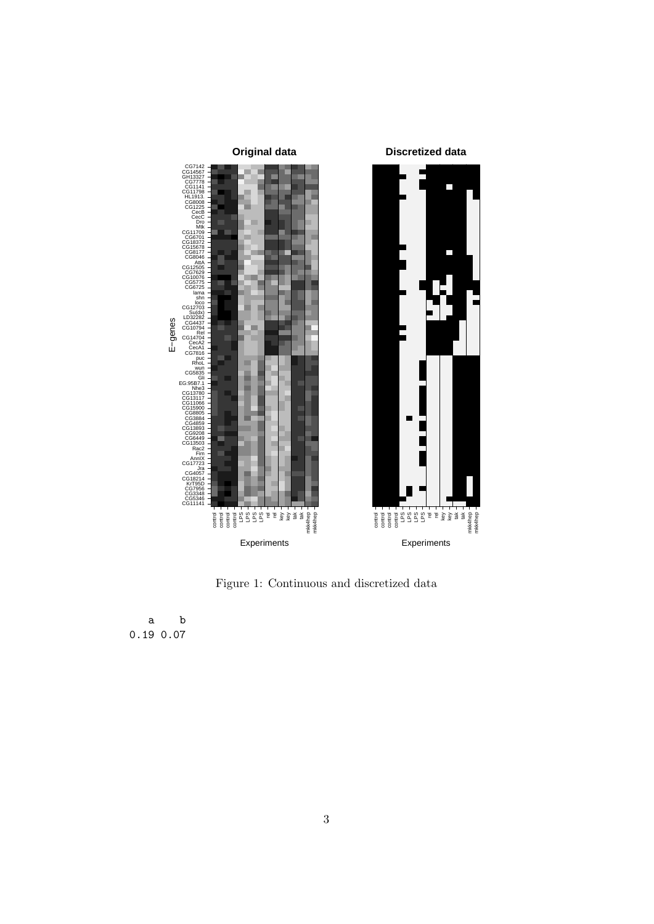

Figure 1: Continuous and discretized data

a b 0.19 0.07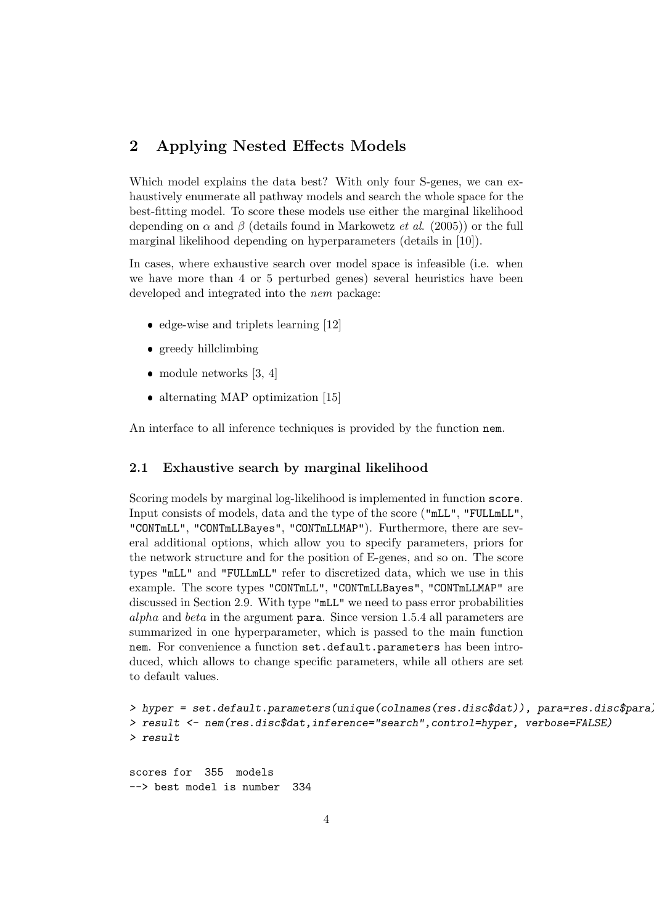# 2 Applying Nested Effects Models

Which model explains the data best? With only four S-genes, we can exhaustively enumerate all pathway models and search the whole space for the best-fitting model. To score these models use either the marginal likelihood depending on  $\alpha$  and  $\beta$  (details found in Markowetz *et al.* (2005)) or the full marginal likelihood depending on hyperparameters (details in [10]).

In cases, where exhaustive search over model space is infeasible (i.e. when we have more than 4 or 5 perturbed genes) several heuristics have been developed and integrated into the nem package:

- $\bullet$  edge-wise and triplets learning [12]
- greedy hillclimbing
- module networks [3, 4]
- alternating MAP optimization [15]

An interface to all inference techniques is provided by the function nem.

#### 2.1 Exhaustive search by marginal likelihood

Scoring models by marginal log-likelihood is implemented in function score. Input consists of models, data and the type of the score ("mLL", "FULLmLL", "CONTmLL", "CONTmLLBayes", "CONTmLLMAP"). Furthermore, there are several additional options, which allow you to specify parameters, priors for the network structure and for the position of E-genes, and so on. The score types "mLL" and "FULLmLL" refer to discretized data, which we use in this example. The score types "CONTmLL", "CONTmLLBayes", "CONTmLLMAP" are discussed in Section 2.9. With type "mLL" we need to pass error probabilities alpha and beta in the argument para. Since version 1.5.4 all parameters are summarized in one hyperparameter, which is passed to the main function nem. For convenience a function set.default.parameters has been introduced, which allows to change specific parameters, while all others are set to default values.

```
> hyper = set.default.parameters(unique(colnames(res.disc$dat)), para=res.disc$para)
> result <- nem(res.disc$dat,inference="search",control=hyper, verbose=FALSE)
> result
```

```
scores for 355 models
--> best model is number 334
```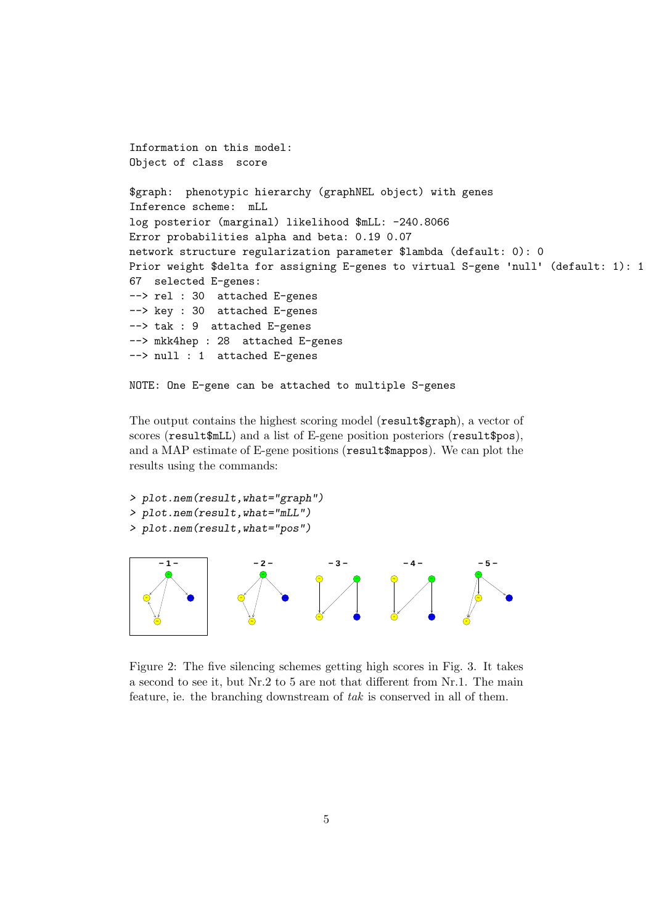```
Information on this model:
Object of class score
$graph: phenotypic hierarchy (graphNEL object) with genes
Inference scheme: mLL
log posterior (marginal) likelihood $mLL: -240.8066
Error probabilities alpha and beta: 0.19 0.07
network structure regularization parameter $lambda (default: 0): 0
Prior weight $delta for assigning E-genes to virtual S-gene 'null' (default: 1): 1
67 selected E-genes:
--> rel : 30 attached E-genes
--> key : 30 attached E-genes
--> tak : 9 attached E-genes
--> mkk4hep : 28 attached E-genes
--> null : 1 attached E-genes
```
NOTE: One E-gene can be attached to multiple S-genes

The output contains the highest scoring model (result\$graph), a vector of scores (result\$mLL) and a list of E-gene position posteriors (result\$pos), and a MAP estimate of E-gene positions (result\$mappos). We can plot the results using the commands:



Figure 2: The five silencing schemes getting high scores in Fig. 3. It takes a second to see it, but Nr.2 to 5 are not that different from Nr.1. The main feature, ie. the branching downstream of tak is conserved in all of them.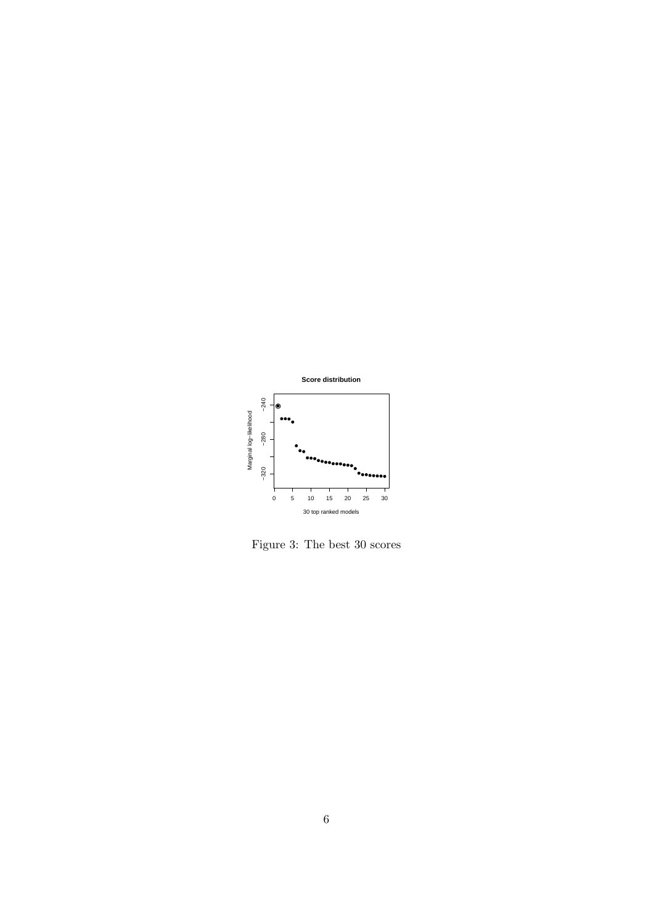

Figure 3: The best 30 scores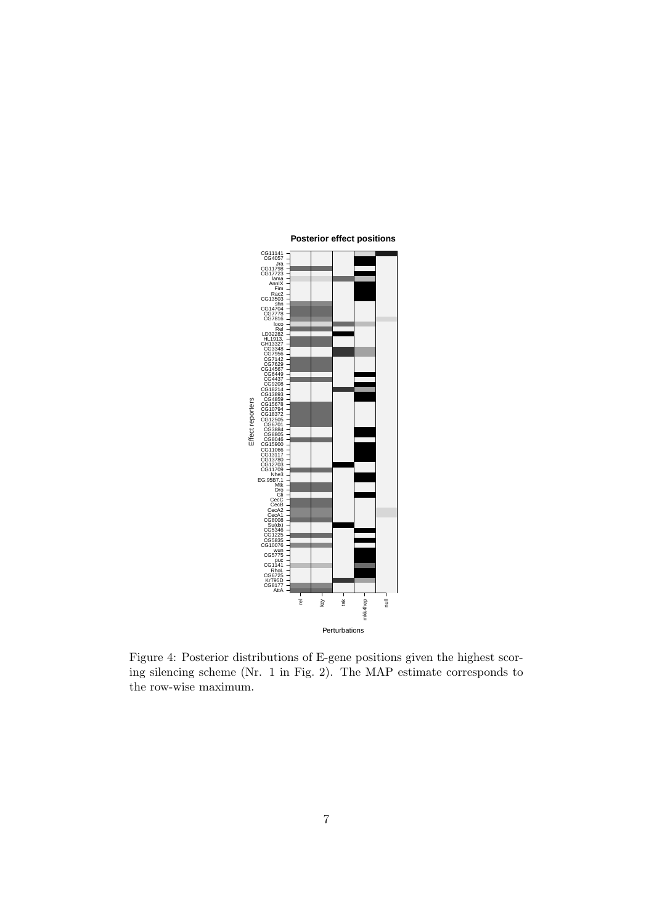

Figure 4: Posterior distributions of E-gene positions given the highest scoring silencing scheme (Nr. 1 in Fig. 2). The MAP estimate corresponds to the row-wise maximum.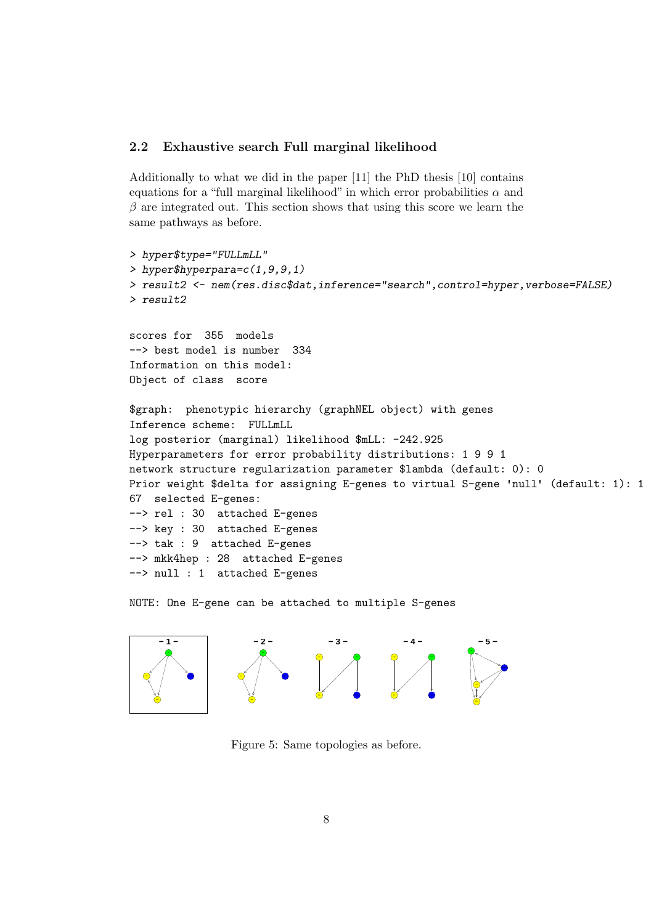#### 2.2 Exhaustive search Full marginal likelihood

Additionally to what we did in the paper [11] the PhD thesis [10] contains equations for a "full marginal likelihood" in which error probabilities  $\alpha$  and  $\beta$  are integrated out. This section shows that using this score we learn the same pathways as before.

```
> hyper$type="FULLmLL"
> hyper$hyperpara=c(1,9,9,1)
> result2 <- nem(res.disc$dat,inference="search",control=hyper,verbose=FALSE)
> result2
scores for 355 models
--> best model is number 334
Information on this model:
Object of class score
$graph: phenotypic hierarchy (graphNEL object) with genes
Inference scheme: FULLmLL
log posterior (marginal) likelihood $mLL: -242.925
Hyperparameters for error probability distributions: 1 9 9 1
network structure regularization parameter $lambda (default: 0): 0
Prior weight $delta for assigning E-genes to virtual S-gene 'null' (default: 1): 1
67 selected E-genes:
--> rel : 30 attached E-genes
--> key : 30 attached E-genes
--> tak : 9 attached E-genes
--> mkk4hep : 28 attached E-genes
--> null : 1 attached E-genes
```
NOTE: One E-gene can be attached to multiple S-genes



Figure 5: Same topologies as before.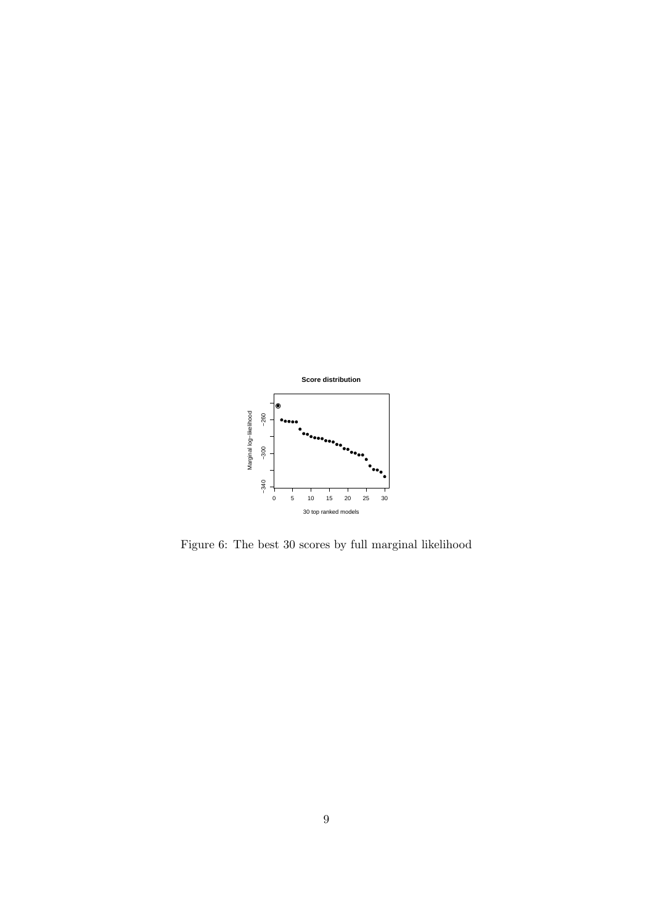

Figure 6: The best 30 scores by full marginal likelihood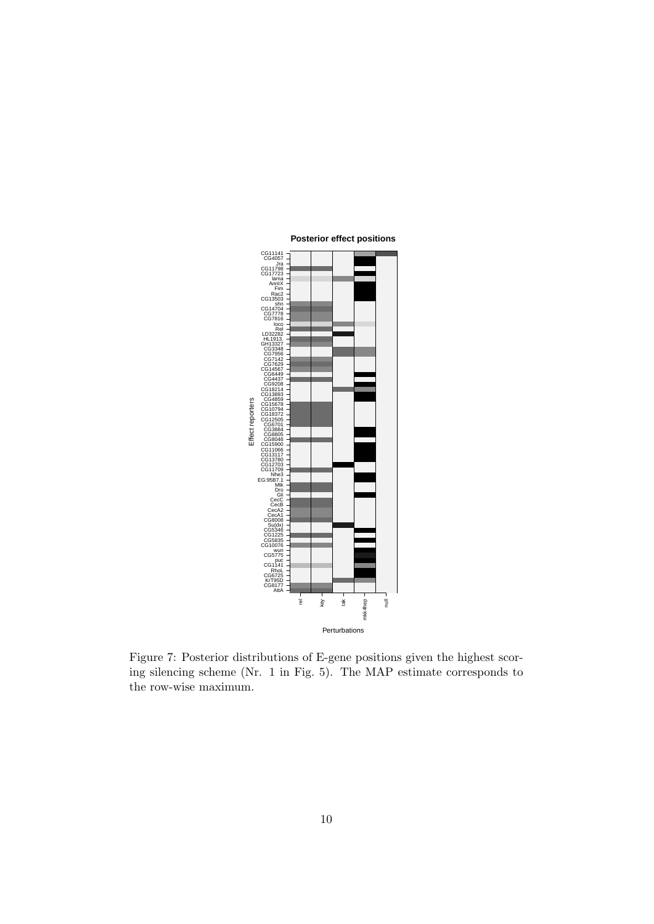

Figure 7: Posterior distributions of E-gene positions given the highest scoring silencing scheme (Nr. 1 in Fig. 5). The MAP estimate corresponds to the row-wise maximum.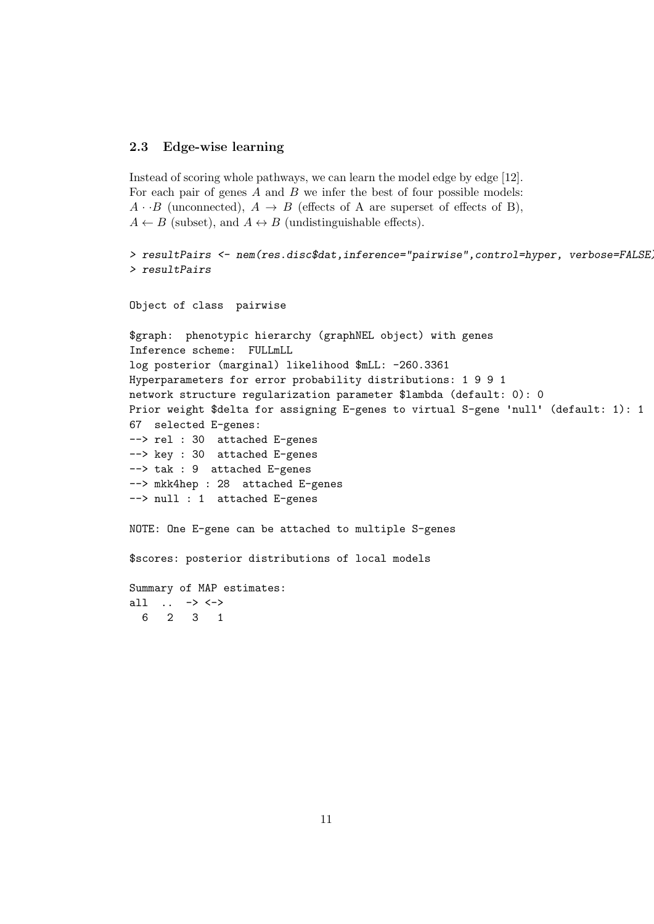#### 2.3 Edge-wise learning

```
Instead of scoring whole pathways, we can learn the model edge by edge [12].
For each pair of genes A and B we infer the best of four possible models:
A \cdot B (unconnected), A \rightarrow B (effects of A are superset of effects of B),
A \leftarrow B (subset), and A \leftrightarrow B (undistinguishable effects).
```

```
> resultPairs <- nem(res.disc$dat,inference="pairwise",control=hyper, verbose=FALSE)
> resultPairs
```

```
Object of class pairwise
```
6 2 3 1

```
$graph: phenotypic hierarchy (graphNEL object) with genes
Inference scheme: FULLmLL
log posterior (marginal) likelihood $mLL: -260.3361
Hyperparameters for error probability distributions: 1 9 9 1
network structure regularization parameter $lambda (default: 0): 0
Prior weight $delta for assigning E-genes to virtual S-gene 'null' (default: 1): 1
67 selected E-genes:
--> rel : 30 attached E-genes
--> key : 30 attached E-genes
--> tak : 9 attached E-genes
--> mkk4hep : 28 attached E-genes
--> null : 1 attached E-genes
NOTE: One E-gene can be attached to multiple S-genes
$scores: posterior distributions of local models
Summary of MAP estimates:
all .. -> <->
```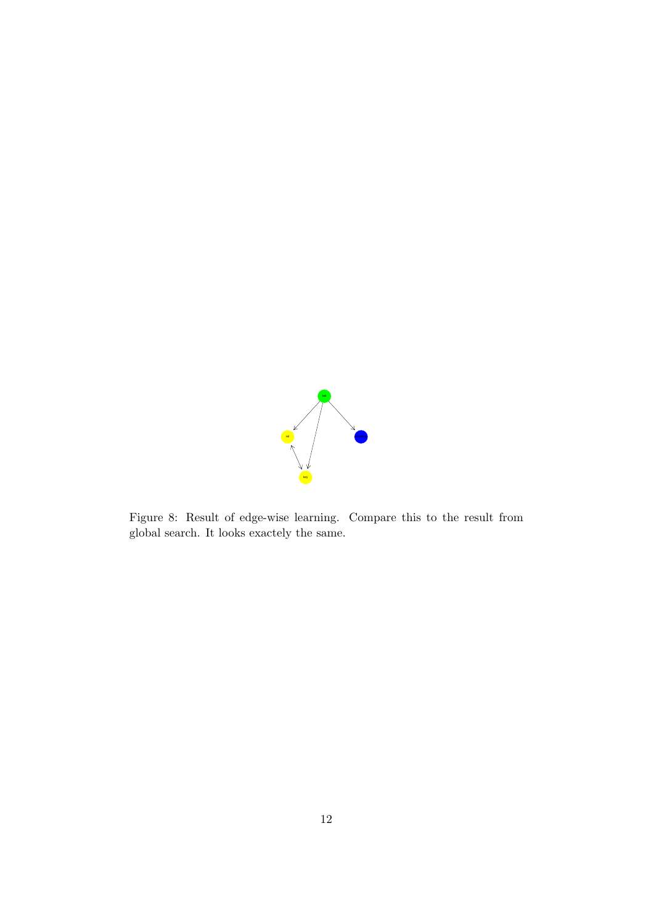

Figure 8: Result of edge-wise learning. Compare this to the result from global search. It looks exactely the same.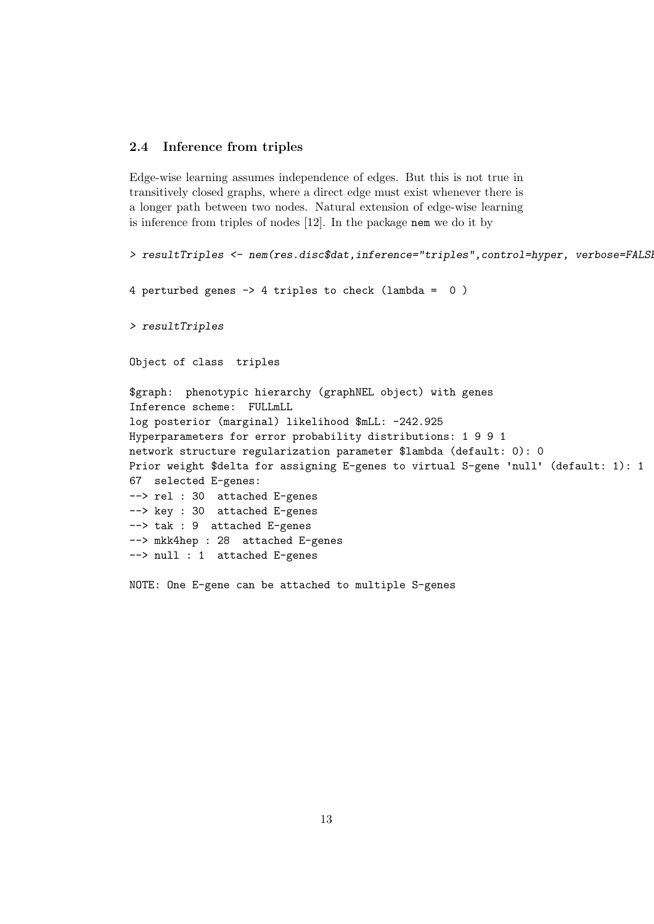#### 2.4 Inference from triples

Edge-wise learning assumes independence of edges. But this is not true in transitively closed graphs, where a direct edge must exist whenever there is a longer path between two nodes. Natural extension of edge-wise learning is inference from triples of nodes [12]. In the package nem we do it by

```
> resultTriples <- nem(res.disc$dat,inference="triples",control=hyper, verbose=FALSi
4 perturbed genes -> 4 triples to check (lambda = 0 )
> resultTriples
Object of class triples
$graph: phenotypic hierarchy (graphNEL object) with genes
Inference scheme: FULLmLL
log posterior (marginal) likelihood $mLL: -242.925
Hyperparameters for error probability distributions: 1 9 9 1
network structure regularization parameter $lambda (default: 0): 0
Prior weight $delta for assigning E-genes to virtual S-gene 'null' (default: 1): 1
67 selected E-genes:
--> rel : 30 attached E-genes
--> key : 30 attached E-genes
--> tak : 9 attached E-genes
--> mkk4hep : 28 attached E-genes
--> null : 1 attached E-genes
```
NOTE: One E-gene can be attached to multiple S-genes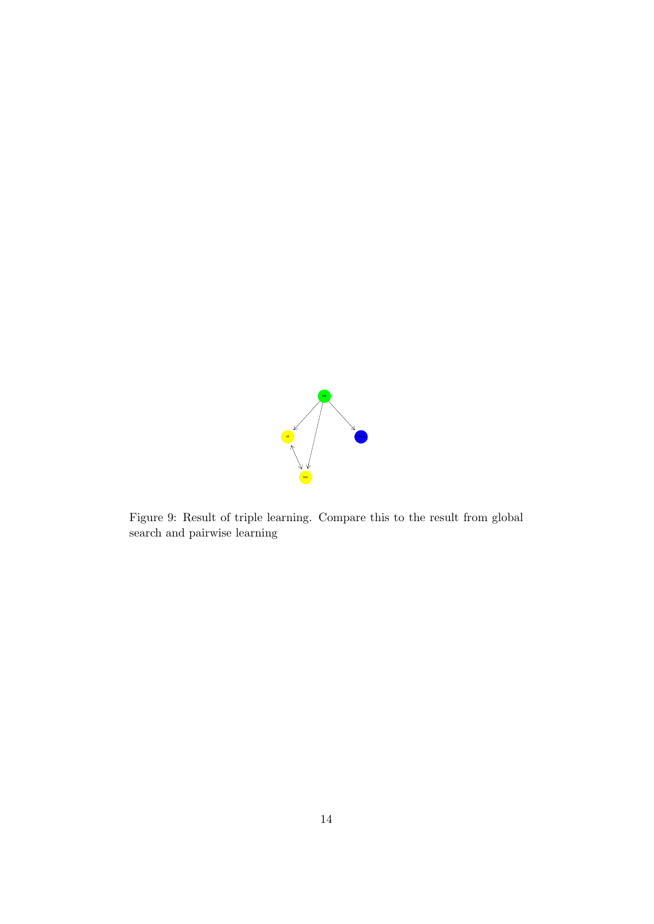

Figure 9: Result of triple learning. Compare this to the result from global search and pairwise learning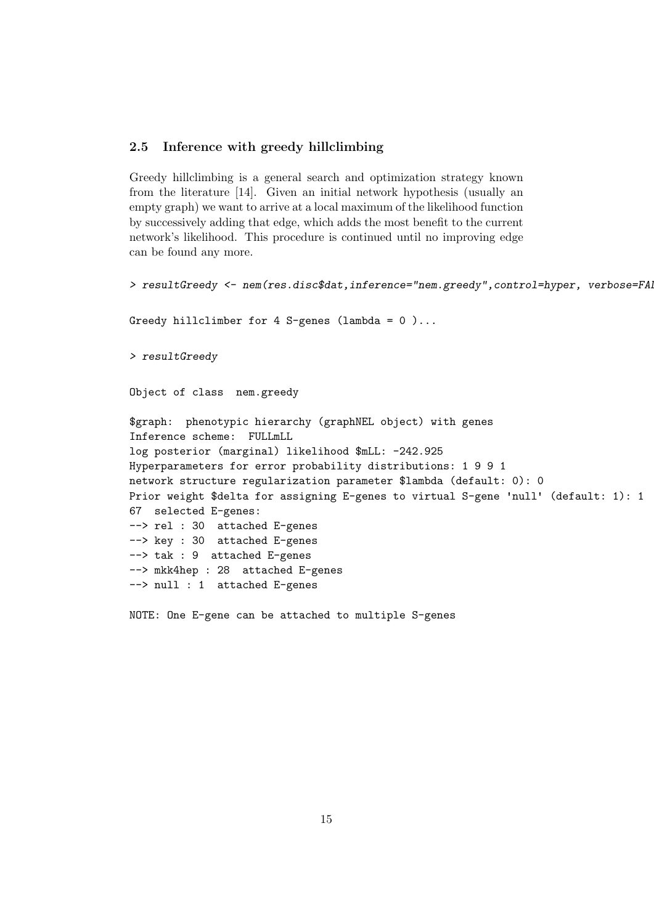#### 2.5 Inference with greedy hillclimbing

Greedy hillclimbing is a general search and optimization strategy known from the literature [14]. Given an initial network hypothesis (usually an empty graph) we want to arrive at a local maximum of the likelihood function by successively adding that edge, which adds the most benefit to the current network's likelihood. This procedure is continued until no improving edge can be found any more.

```
> resultGreedy <- nem(res.disc$dat,inference="nem.greedy",control=hyper, verbose=FA
Greedy hillclimber for 4 S-genes (lambda = 0)...
> resultGreedy
Object of class nem.greedy
$graph: phenotypic hierarchy (graphNEL object) with genes
Inference scheme: FULLmLL
log posterior (marginal) likelihood $mLL: -242.925
Hyperparameters for error probability distributions: 1 9 9 1
network structure regularization parameter $lambda (default: 0): 0
Prior weight $delta for assigning E-genes to virtual S-gene 'null' (default: 1): 1
67 selected E-genes:
--> rel : 30 attached E-genes
--> key : 30 attached E-genes
--> tak : 9 attached E-genes
--> mkk4hep : 28 attached E-genes
--> null : 1 attached E-genes
```
NOTE: One E-gene can be attached to multiple S-genes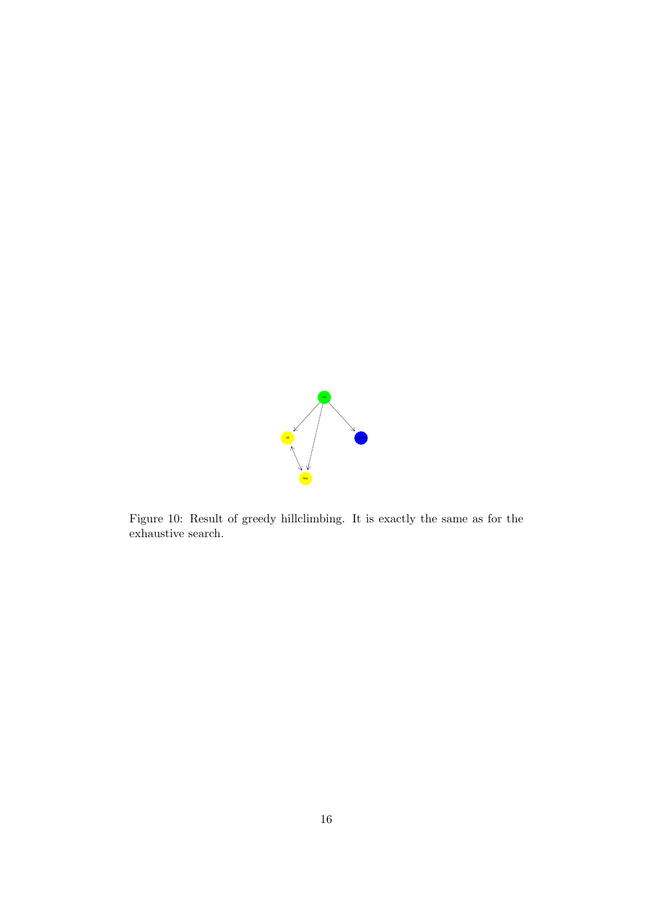

Figure 10: Result of greedy hillclimbing. It is exactly the same as for the exhaustive search.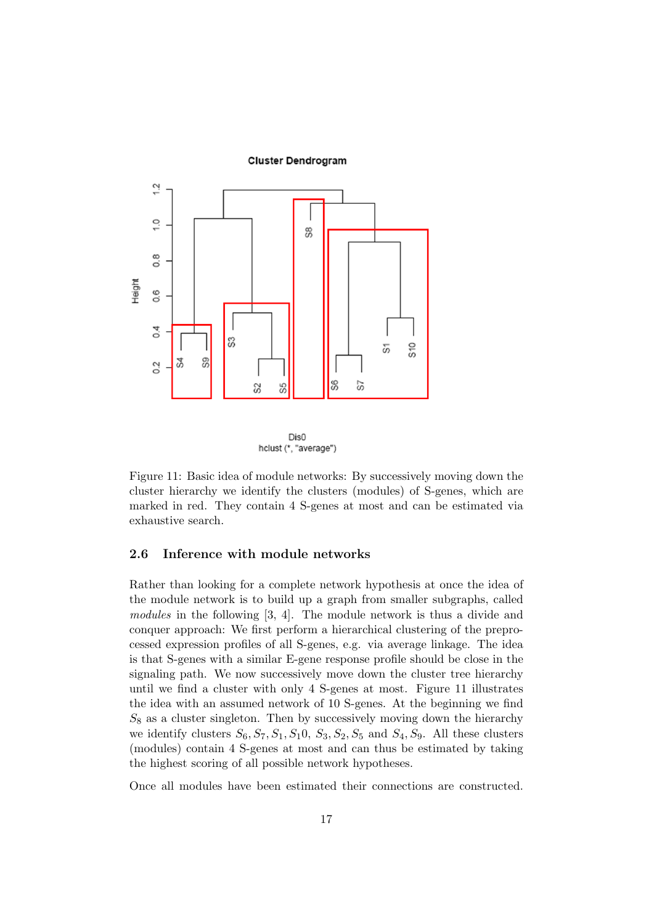#### **Cluster Dendrogram**





Figure 11: Basic idea of module networks: By successively moving down the cluster hierarchy we identify the clusters (modules) of S-genes, which are marked in red. They contain 4 S-genes at most and can be estimated via exhaustive search.

#### 2.6 Inference with module networks

Rather than looking for a complete network hypothesis at once the idea of the module network is to build up a graph from smaller subgraphs, called modules in the following [3, 4]. The module network is thus a divide and conquer approach: We first perform a hierarchical clustering of the preprocessed expression profiles of all S-genes, e.g. via average linkage. The idea is that S-genes with a similar E-gene response profile should be close in the signaling path. We now successively move down the cluster tree hierarchy until we find a cluster with only 4 S-genes at most. Figure 11 illustrates the idea with an assumed network of 10 S-genes. At the beginning we find  $S_8$  as a cluster singleton. Then by successively moving down the hierarchy we identify clusters  $S_6$ ,  $S_7$ ,  $S_1$ ,  $S_1$ 0,  $S_3$ ,  $S_2$ ,  $S_5$  and  $S_4$ ,  $S_9$ . All these clusters (modules) contain 4 S-genes at most and can thus be estimated by taking the highest scoring of all possible network hypotheses.

Once all modules have been estimated their connections are constructed.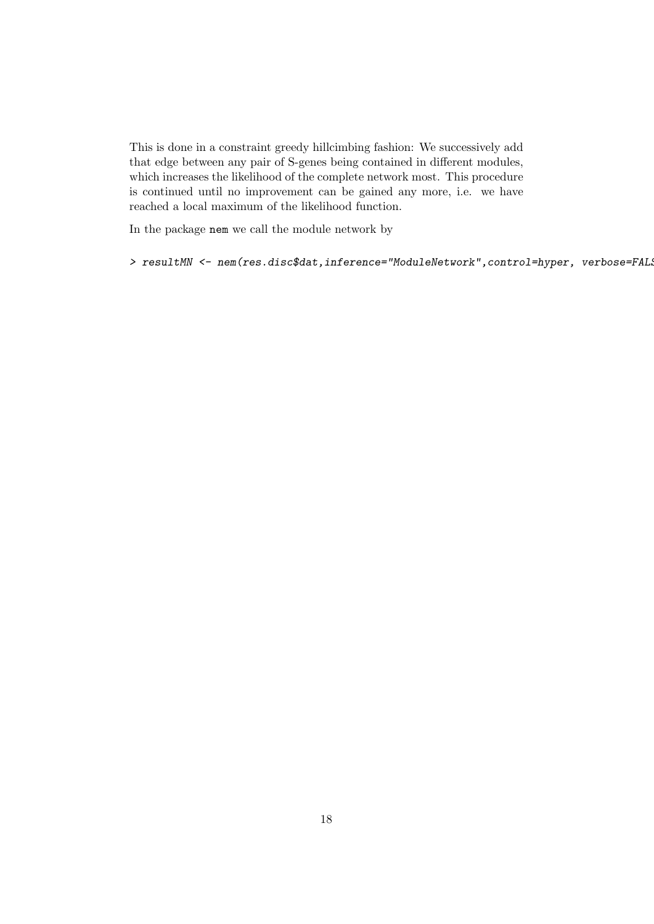This is done in a constraint greedy hillcimbing fashion: We successively add that edge between any pair of S-genes being contained in different modules, which increases the likelihood of the complete network most. This procedure is continued until no improvement can be gained any more, i.e. we have reached a local maximum of the likelihood function.

In the package nem we call the module network by

> resultMN <- nem(res.disc\$dat,inference="ModuleNetwork",control=hyper, verbose=FAL;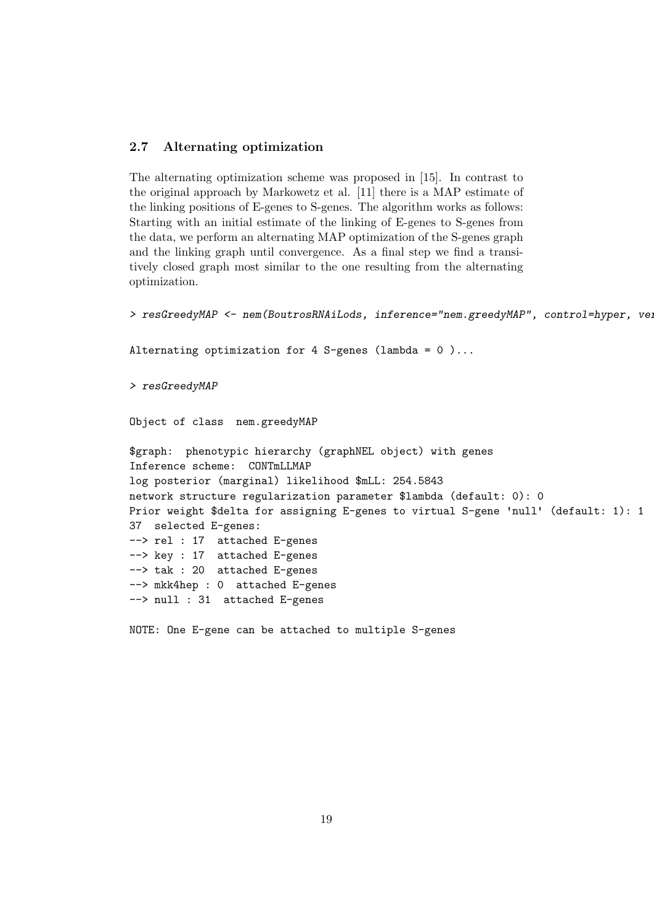# 2.7 Alternating optimization

The alternating optimization scheme was proposed in [15]. In contrast to the original approach by Markowetz et al. [11] there is a MAP estimate of the linking positions of E-genes to S-genes. The algorithm works as follows: Starting with an initial estimate of the linking of E-genes to S-genes from the data, we perform an alternating MAP optimization of the S-genes graph and the linking graph until convergence. As a final step we find a transitively closed graph most similar to the one resulting from the alternating optimization.

> resGreedyMAP <- nem(BoutrosRNAiLods, inference="nem.greedyMAP", control=hyper, ver Alternating optimization for 4 S-genes (lambda =  $0$ )... > resGreedyMAP Object of class nem.greedyMAP \$graph: phenotypic hierarchy (graphNEL object) with genes Inference scheme: CONTmLLMAP log posterior (marginal) likelihood \$mLL: 254.5843 network structure regularization parameter \$lambda (default: 0): 0 Prior weight \$delta for assigning E-genes to virtual S-gene 'null' (default: 1): 1 37 selected E-genes: --> rel : 17 attached E-genes --> key : 17 attached E-genes --> tak : 20 attached E-genes --> mkk4hep : 0 attached E-genes --> null : 31 attached E-genes

NOTE: One E-gene can be attached to multiple S-genes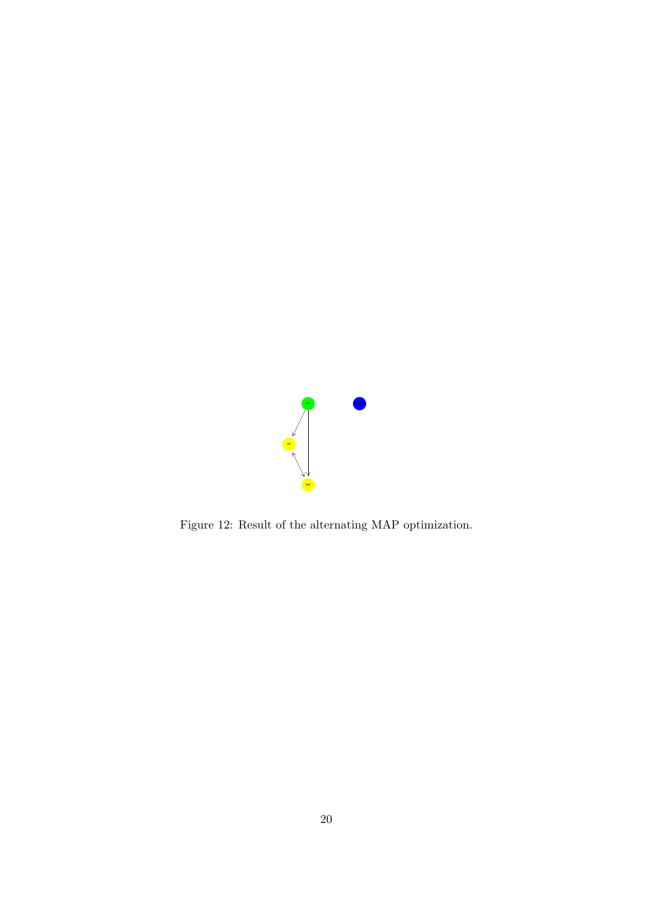

Figure 12: Result of the alternating MAP optimization.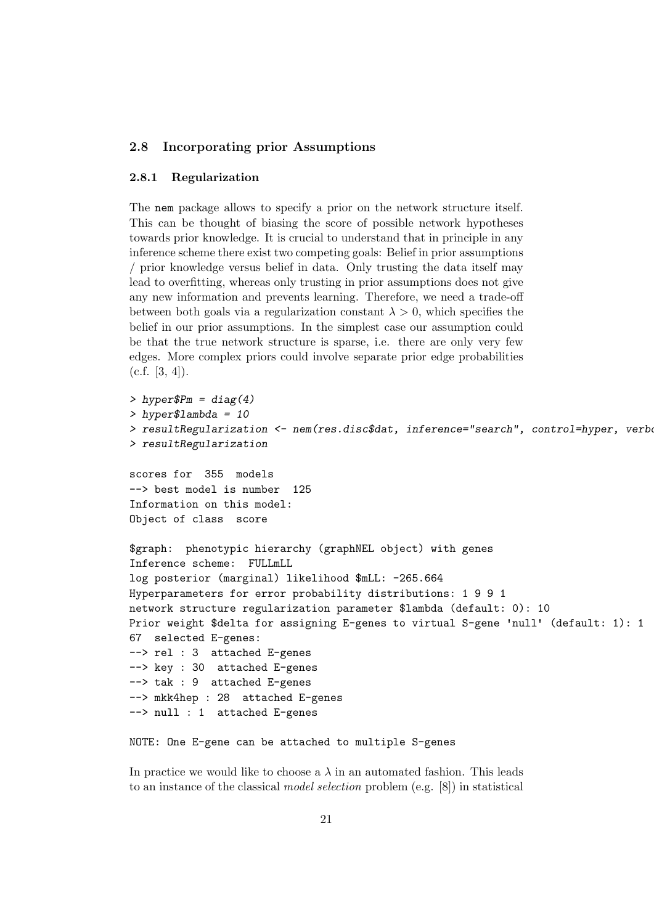# 2.8 Incorporating prior Assumptions

#### 2.8.1 Regularization

The nem package allows to specify a prior on the network structure itself. This can be thought of biasing the score of possible network hypotheses towards prior knowledge. It is crucial to understand that in principle in any inference scheme there exist two competing goals: Belief in prior assumptions / prior knowledge versus belief in data. Only trusting the data itself may lead to overfitting, whereas only trusting in prior assumptions does not give any new information and prevents learning. Therefore, we need a trade-off between both goals via a regularization constant  $\lambda > 0$ , which specifies the belief in our prior assumptions. In the simplest case our assumption could be that the true network structure is sparse, i.e. there are only very few edges. More complex priors could involve separate prior edge probabilities  $(c.f. [3, 4]).$ 

```
> hyperPm = diag(4)> hyper$lambda = 10
> resultRegularization <- nem(res.disc$dat, inference="search", control=hyper, verbe
> resultRegularization
scores for 355 models
--> best model is number 125
Information on this model:
Object of class score
$graph: phenotypic hierarchy (graphNEL object) with genes
Inference scheme: FULLmLL
log posterior (marginal) likelihood $mLL: -265.664
Hyperparameters for error probability distributions: 1 9 9 1
network structure regularization parameter $lambda (default: 0): 10
Prior weight $delta for assigning E-genes to virtual S-gene 'null' (default: 1): 1
67 selected E-genes:
--> rel : 3 attached E-genes
--> key : 30 attached E-genes
--> tak : 9 attached E-genes
--> mkk4hep : 28 attached E-genes
--> null : 1 attached E-genes
NOTE: One E-gene can be attached to multiple S-genes
```
In practice we would like to choose a  $\lambda$  in an automated fashion. This leads to an instance of the classical model selection problem (e.g. [8]) in statistical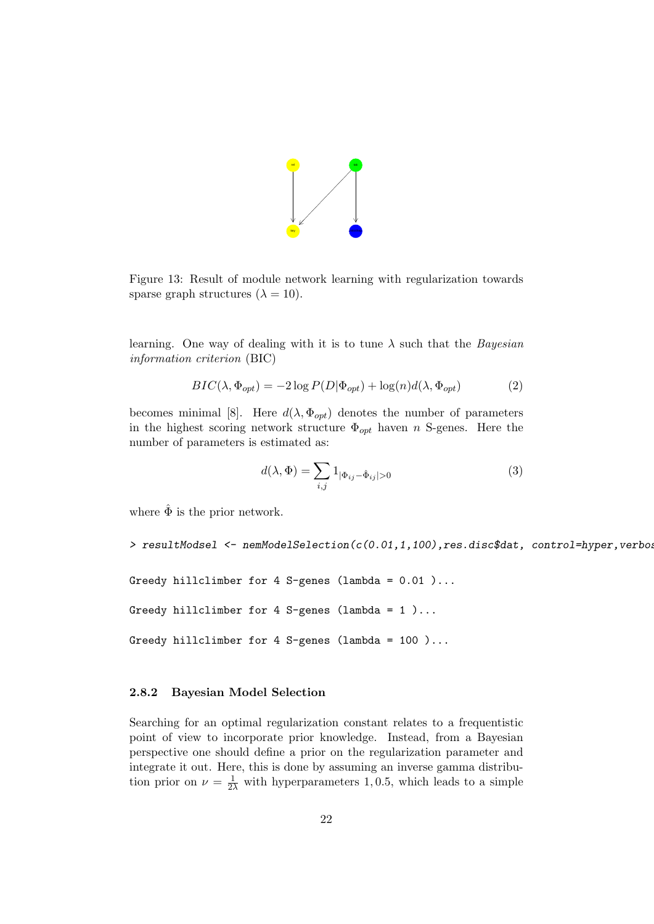

Figure 13: Result of module network learning with regularization towards sparse graph structures  $(\lambda = 10)$ .

learning. One way of dealing with it is to tune  $\lambda$  such that the *Bayesian* information criterion (BIC)

$$
BIC(\lambda, \Phi_{opt}) = -2\log P(D|\Phi_{opt}) + \log(n)d(\lambda, \Phi_{opt})
$$
\n(2)

becomes minimal [8]. Here  $d(\lambda, \Phi_{opt})$  denotes the number of parameters in the highest scoring network structure  $\Phi_{opt}$  haven n S-genes. Here the number of parameters is estimated as:

$$
d(\lambda, \Phi) = \sum_{i,j} 1_{|\Phi_{ij} - \hat{\Phi}_{ij}| > 0}
$$
 (3)

where  $\hat{\Phi}$  is the prior network.

> resultModsel <- nemModelSelection(c(0.01,1,100),res.disc\$dat, control=hyper,verbos

```
Greedy hillclimber for 4 S-genes (lambda = 0.01 )...
Greedy hillclimber for 4 S-genes (lambda = 1)...
```

```
Greedy hillclimber for 4 S-genes (lambda = 100)...
```
#### 2.8.2 Bayesian Model Selection

Searching for an optimal regularization constant relates to a frequentistic point of view to incorporate prior knowledge. Instead, from a Bayesian perspective one should define a prior on the regularization parameter and integrate it out. Here, this is done by assuming an inverse gamma distribution prior on  $\nu = \frac{1}{2\lambda}$  with hyperparameters 1,0.5, which leads to a simple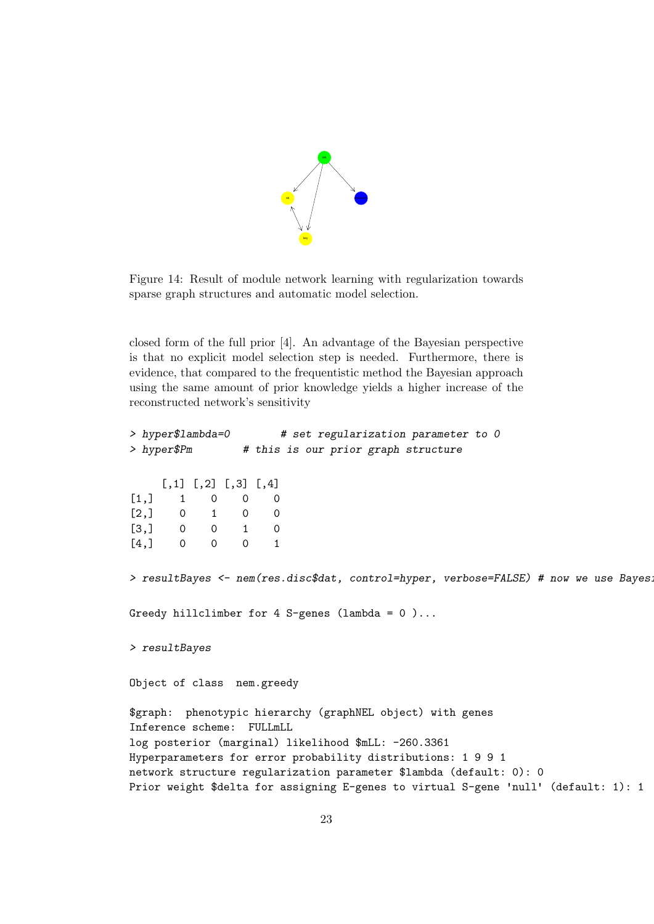

Figure 14: Result of module network learning with regularization towards sparse graph structures and automatic model selection.

closed form of the full prior [4]. An advantage of the Bayesian perspective is that no explicit model selection step is needed. Furthermore, there is evidence, that compared to the frequentistic method the Bayesian approach using the same amount of prior knowledge yields a higher increase of the reconstructed network's sensitivity

| > $hyper$1ambda=0$                                  | # set regularization parameter to 0                                                   |  |
|-----------------------------------------------------|---------------------------------------------------------------------------------------|--|
| > hyper\$Pm                                         | # this is our prior graph structure                                                   |  |
| $[,1]$ $[,2]$ $[,3]$ $[,4]$                         |                                                                                       |  |
| [1,] 1 0<br>$\overline{0}$                          |                                                                                       |  |
| $\begin{matrix} 0 & 1 & 0 & 0 \end{matrix}$<br>[2,] |                                                                                       |  |
| $\begin{matrix}0&0&1&0 \end{matrix}$<br>[3,]        |                                                                                       |  |
| [4,]<br>$\overline{0}$<br>$0\qquad 0$               |                                                                                       |  |
|                                                     | > resultBayes <- nem(res.disc\$dat, control=hyper, verbose=FALSE) # now we use Bayes: |  |
|                                                     | Greedy hillclimber for 4 S-genes (lambda = $0$ )                                      |  |
| $>$ resultBayes                                     |                                                                                       |  |
| Object of class nem.greedy                          |                                                                                       |  |
|                                                     | \$graph: phenotypic hierarchy (graphNEL object) with genes                            |  |
| Inference scheme: FULLmLL                           |                                                                                       |  |
|                                                     | log posterior (marginal) likelihood \$mLL: -260.3361                                  |  |
|                                                     | Hyperparameters for error probability distributions: 1 9 9 1                          |  |
|                                                     | network structure regularization parameter \$lambda (default: 0): 0                   |  |
|                                                     | Prior weight \$delta for assigning E-genes to virtual S-gene 'null' (default: 1): 1   |  |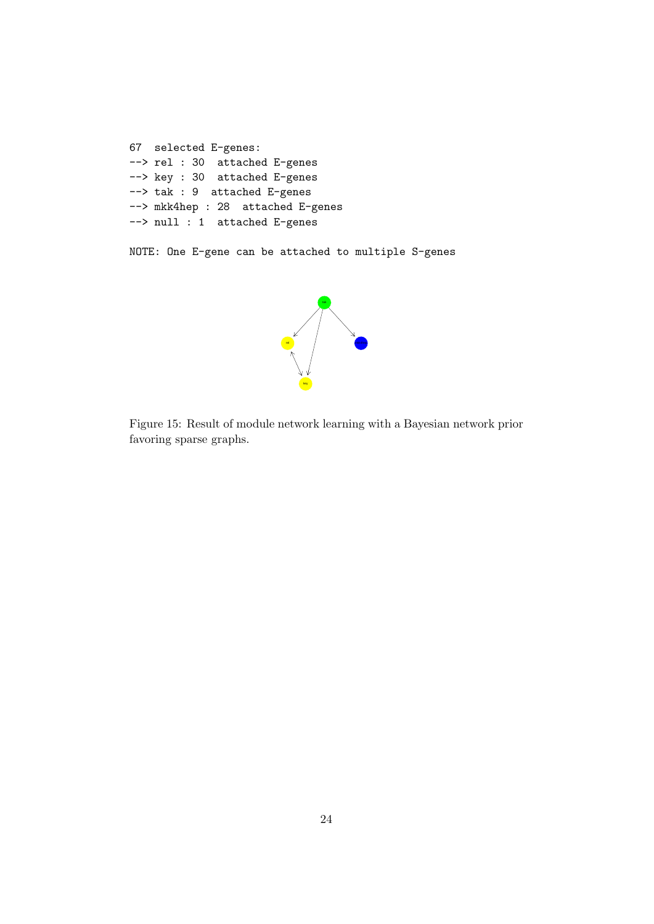```
67 selected E-genes:
--> rel : 30 attached E-genes
--> key : 30 attached E-genes
--> tak : 9 attached E-genes
--> mkk4hep : 28 attached E-genes
--> null : 1 attached E-genes
```
NOTE: One E-gene can be attached to multiple S-genes



Figure 15: Result of module network learning with a Bayesian network prior favoring sparse graphs.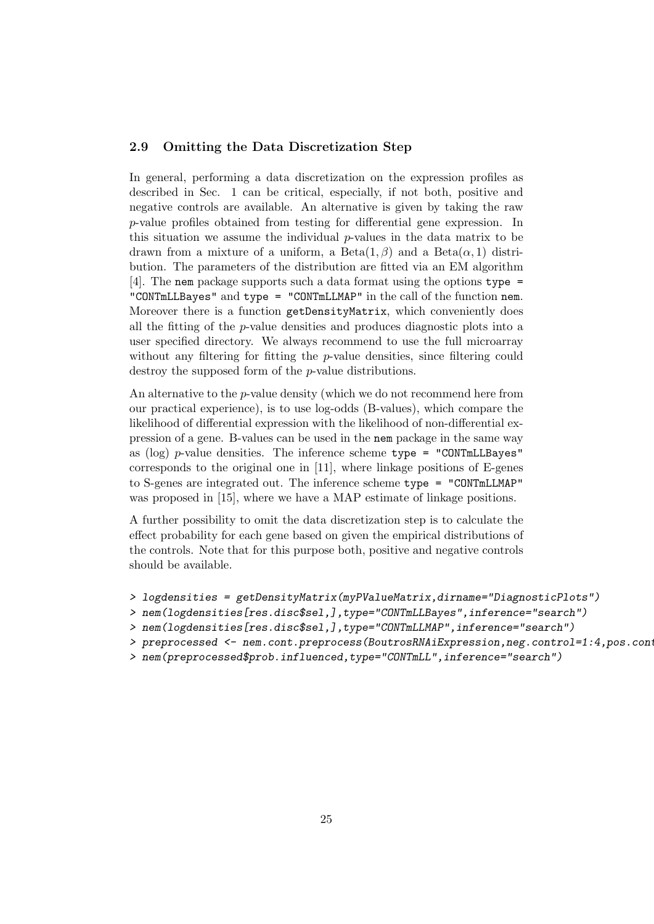#### 2.9 Omitting the Data Discretization Step

In general, performing a data discretization on the expression profiles as described in Sec. 1 can be critical, especially, if not both, positive and negative controls are available. An alternative is given by taking the raw p-value profiles obtained from testing for differential gene expression. In this situation we assume the individual  $p$ -values in the data matrix to be drawn from a mixture of a uniform, a  $Beta(1,\beta)$  and a  $Beta(\alpha,1)$  distribution. The parameters of the distribution are fitted via an EM algorithm [4]. The nem package supports such a data format using the options type = "CONTmLLBayes" and type = "CONTmLLMAP" in the call of the function nem. Moreover there is a function getDensityMatrix, which conveniently does all the fitting of the p-value densities and produces diagnostic plots into a user specified directory. We always recommend to use the full microarray without any filtering for fitting the *p*-value densities, since filtering could destroy the supposed form of the p-value distributions.

An alternative to the *p*-value density (which we do not recommend here from our practical experience), is to use log-odds (B-values), which compare the likelihood of differential expression with the likelihood of non-differential expression of a gene. B-values can be used in the nem package in the same way as (log)  $p$ -value densities. The inference scheme type = "CONTmLLBayes" corresponds to the original one in [11], where linkage positions of E-genes to S-genes are integrated out. The inference scheme type = "CONTmLLMAP" was proposed in [15], where we have a MAP estimate of linkage positions.

A further possibility to omit the data discretization step is to calculate the effect probability for each gene based on given the empirical distributions of the controls. Note that for this purpose both, positive and negative controls should be available.

```
> logdensities = getDensityMatrix(myPValueMatrix,dirname="DiagnosticPlots")
```

```
> nem(logdensities[res.disc$sel,],type="CONTmLLBayes",inference="search")
```

```
> nem(logdensities[res.disc$sel,],type="CONTmLLMAP",inference="search")
```

```
> preprocessed <- nem.cont.preprocess(BoutrosRNAiExpression,neg.control=1:4,pos.cont
```
> nem(preprocessed\$prob.influenced,type="CONTmLL",inference="search")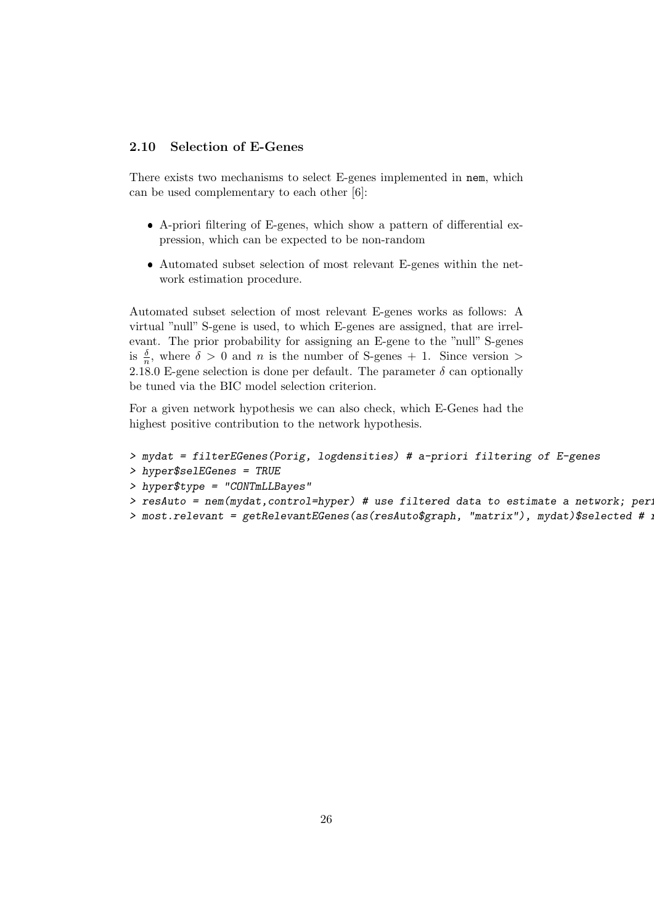#### 2.10 Selection of E-Genes

There exists two mechanisms to select E-genes implemented in nem, which can be used complementary to each other [6]:

- A-priori filtering of E-genes, which show a pattern of differential expression, which can be expected to be non-random
- Automated subset selection of most relevant E-genes within the network estimation procedure.

Automated subset selection of most relevant E-genes works as follows: A virtual "null" S-gene is used, to which E-genes are assigned, that are irrelevant. The prior probability for assigning an E-gene to the "null" S-genes is  $\frac{\delta}{n}$ , where  $\delta > 0$  and *n* is the number of S-genes + 1. Since version > 2.18.0 E-gene selection is done per default. The parameter  $\delta$  can optionally be tuned via the BIC model selection criterion.

For a given network hypothesis we can also check, which E-Genes had the highest positive contribution to the network hypothesis.

```
> mydat = filterEGenes(Porig, logdensities) # a-priori filtering of E-genes
> hyper$selEGenes = TRUE
> hyper$type = "CONTmLLBayes"
> resAuto = nem(mydat,control=hyper) # use filtered data to estimate a network; per:
> most.relevant = getRelevantEGenes(as(resAuto$graph, "matrix"), mydat)$selected # :
```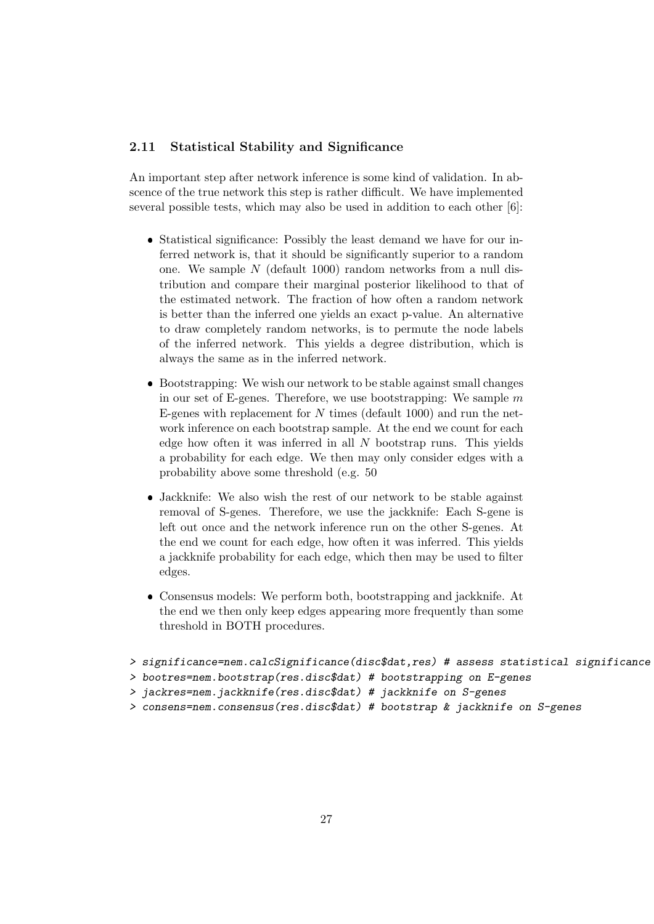#### 2.11 Statistical Stability and Significance

An important step after network inference is some kind of validation. In abscence of the true network this step is rather difficult. We have implemented several possible tests, which may also be used in addition to each other [6]:

- Statistical significance: Possibly the least demand we have for our inferred network is, that it should be significantly superior to a random one. We sample  $N$  (default 1000) random networks from a null distribution and compare their marginal posterior likelihood to that of the estimated network. The fraction of how often a random network is better than the inferred one yields an exact p-value. An alternative to draw completely random networks, is to permute the node labels of the inferred network. This yields a degree distribution, which is always the same as in the inferred network.
- Bootstrapping: We wish our network to be stable against small changes in our set of E-genes. Therefore, we use bootstrapping: We sample  $m$ E-genes with replacement for  $N$  times (default 1000) and run the network inference on each bootstrap sample. At the end we count for each edge how often it was inferred in all  $N$  bootstrap runs. This yields a probability for each edge. We then may only consider edges with a probability above some threshold (e.g. 50
- Jackknife: We also wish the rest of our network to be stable against removal of S-genes. Therefore, we use the jackknife: Each S-gene is left out once and the network inference run on the other S-genes. At the end we count for each edge, how often it was inferred. This yields a jackknife probability for each edge, which then may be used to filter edges.
- Consensus models: We perform both, bootstrapping and jackknife. At the end we then only keep edges appearing more frequently than some threshold in BOTH procedures.

```
> significance=nem.calcSignificance(disc$dat,res) # assess statistical significance
```

```
> bootres=nem.bootstrap(res.disc$dat) # bootstrapping on E-genes
```

```
> jackres=nem.jackknife(res.disc$dat) # jackknife on S-genes
```
> consens=nem.consensus(res.disc\$dat) # bootstrap & jackknife on S-genes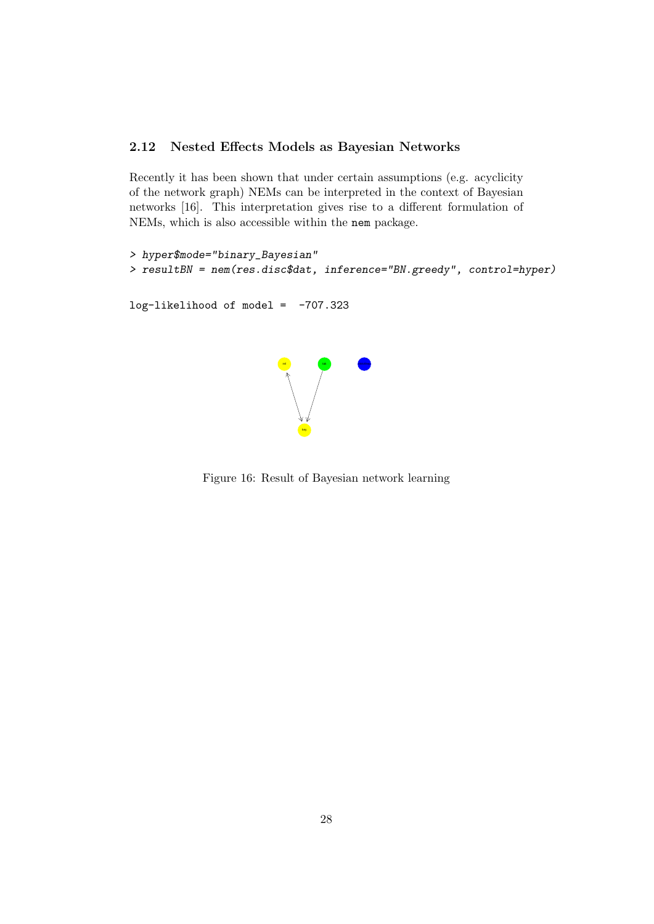# 2.12 Nested Effects Models as Bayesian Networks

Recently it has been shown that under certain assumptions (e.g. acyclicity of the network graph) NEMs can be interpreted in the context of Bayesian networks [16]. This interpretation gives rise to a different formulation of NEMs, which is also accessible within the nem package.

```
> hyper$mode="binary_Bayesian"
> resultBN = nem(res.disc$dat, inference="BN.greedy", control=hyper)
log-likelihood of model = -707.323rel
                                key
                                    tak <mark>mkk4hep</mark>
```
Figure 16: Result of Bayesian network learning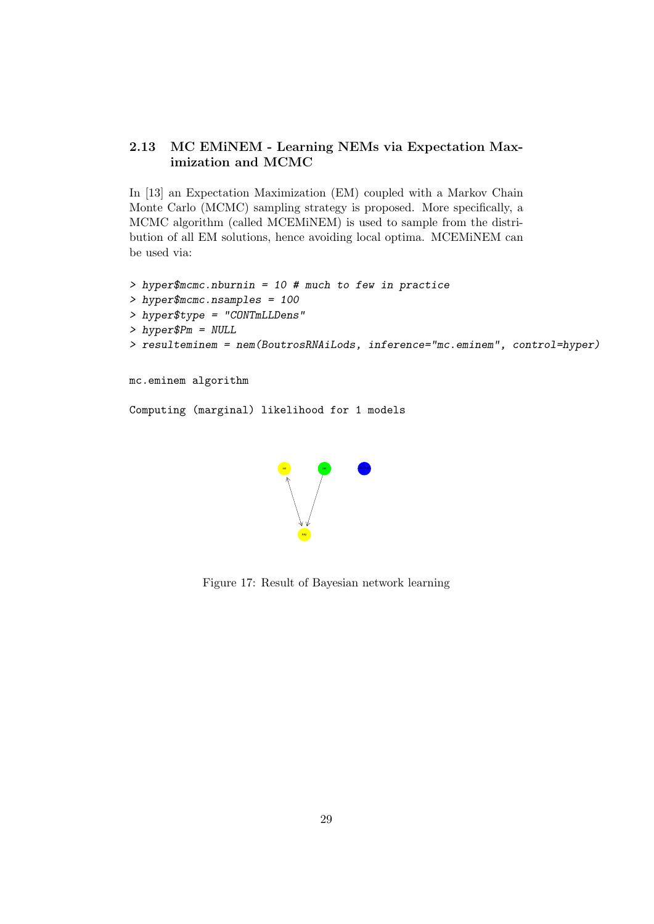# 2.13 MC EMiNEM - Learning NEMs via Expectation Maximization and MCMC

In [13] an Expectation Maximization (EM) coupled with a Markov Chain Monte Carlo (MCMC) sampling strategy is proposed. More specifically, a MCMC algorithm (called MCEMiNEM) is used to sample from the distribution of all EM solutions, hence avoiding local optima. MCEMiNEM can be used via:

```
> hyper$mcmc.nburnin = 10 # much to few in practice
> hyper$mcmc.nsamples = 100
> hyper$type = "CONTmLLDens"
> hyper$Pm = NULL
> resulteminem = nem(BoutrosRNAiLods, inference="mc.eminem", control=hyper)
mc.eminem algorithm
```

```
Computing (marginal) likelihood for 1 models
```


Figure 17: Result of Bayesian network learning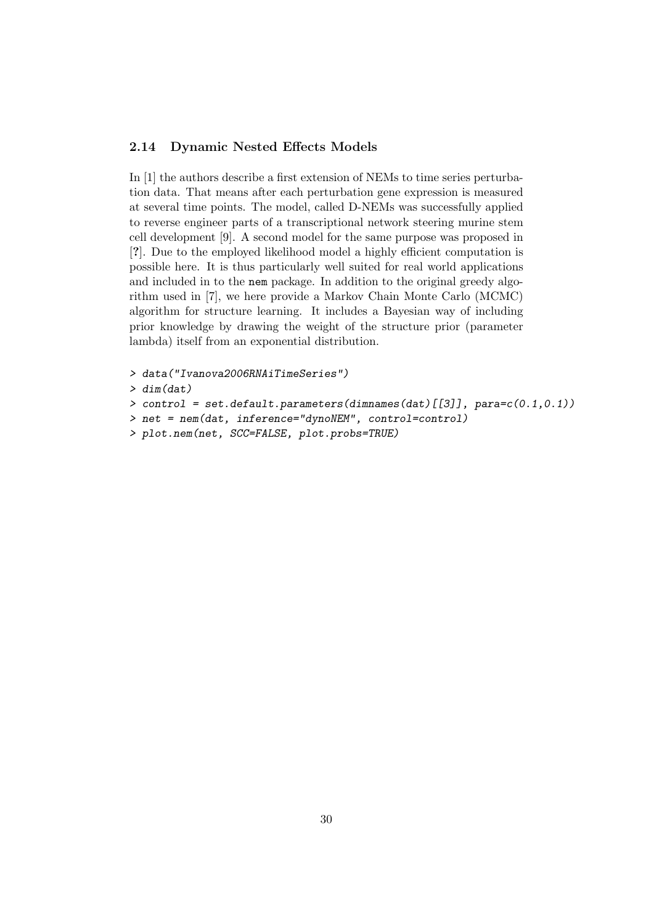#### 2.14 Dynamic Nested Effects Models

In [1] the authors describe a first extension of NEMs to time series perturbation data. That means after each perturbation gene expression is measured at several time points. The model, called D-NEMs was successfully applied to reverse engineer parts of a transcriptional network steering murine stem cell development [9]. A second model for the same purpose was proposed in [?]. Due to the employed likelihood model a highly efficient computation is possible here. It is thus particularly well suited for real world applications and included in to the nem package. In addition to the original greedy algorithm used in [7], we here provide a Markov Chain Monte Carlo (MCMC) algorithm for structure learning. It includes a Bayesian way of including prior knowledge by drawing the weight of the structure prior (parameter lambda) itself from an exponential distribution.

```
> data("Ivanova2006RNAiTimeSeries")
> dim(dat)
> control = set.default.parameters(dimnames(dat)[[3]], para=c(0.1,0.1))
> net = nem(dat, inference="dynoNEM", control=control)
> plot.nem(net, SCC=FALSE, plot.probs=TRUE)
```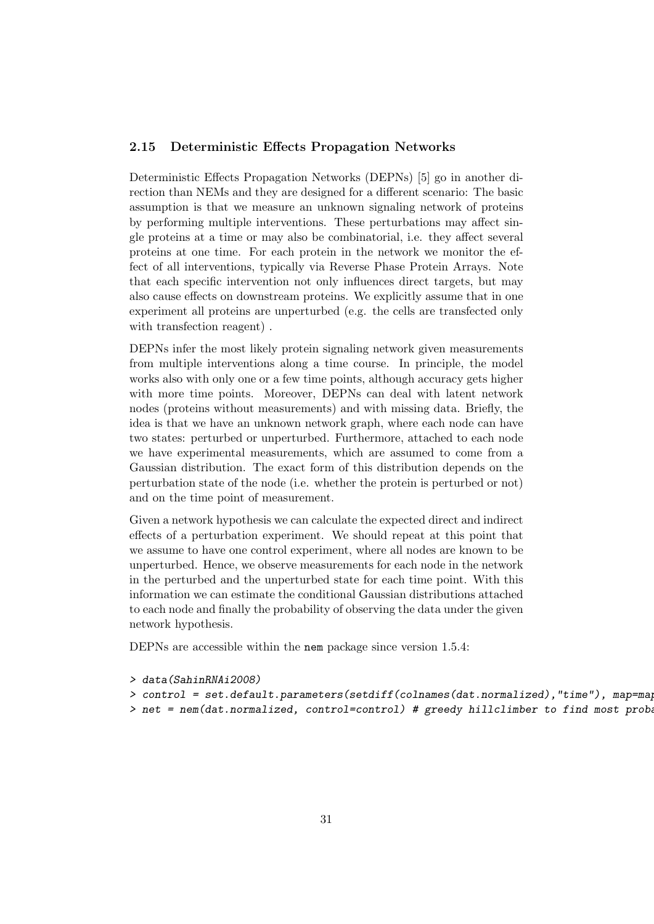#### 2.15 Deterministic Effects Propagation Networks

Deterministic Effects Propagation Networks (DEPNs) [5] go in another direction than NEMs and they are designed for a different scenario: The basic assumption is that we measure an unknown signaling network of proteins by performing multiple interventions. These perturbations may affect single proteins at a time or may also be combinatorial, i.e. they affect several proteins at one time. For each protein in the network we monitor the effect of all interventions, typically via Reverse Phase Protein Arrays. Note that each specific intervention not only influences direct targets, but may also cause effects on downstream proteins. We explicitly assume that in one experiment all proteins are unperturbed (e.g. the cells are transfected only with transfection reagent) .

DEPNs infer the most likely protein signaling network given measurements from multiple interventions along a time course. In principle, the model works also with only one or a few time points, although accuracy gets higher with more time points. Moreover, DEPNs can deal with latent network nodes (proteins without measurements) and with missing data. Briefly, the idea is that we have an unknown network graph, where each node can have two states: perturbed or unperturbed. Furthermore, attached to each node we have experimental measurements, which are assumed to come from a Gaussian distribution. The exact form of this distribution depends on the perturbation state of the node (i.e. whether the protein is perturbed or not) and on the time point of measurement.

Given a network hypothesis we can calculate the expected direct and indirect effects of a perturbation experiment. We should repeat at this point that we assume to have one control experiment, where all nodes are known to be unperturbed. Hence, we observe measurements for each node in the network in the perturbed and the unperturbed state for each time point. With this information we can estimate the conditional Gaussian distributions attached to each node and finally the probability of observing the data under the given network hypothesis.

DEPNs are accessible within the nem package since version 1.5.4:

- > data(SahinRNAi2008)
- > control = set.default.parameters(setdiff(colnames(dat.normalized),"time"), map=map
- > net = nem(dat.normalized, control=control) # greedy hillclimber to find most proba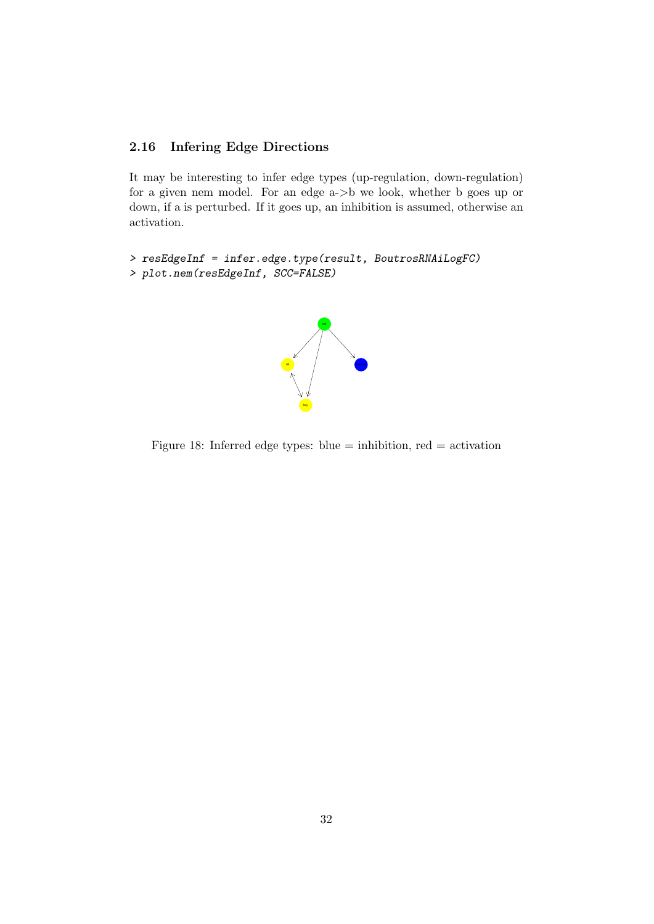# 2.16 Infering Edge Directions

It may be interesting to infer edge types (up-regulation, down-regulation) for a given nem model. For an edge a->b we look, whether b goes up or down, if a is perturbed. If it goes up, an inhibition is assumed, otherwise an activation.

```
> resEdgeInf = infer.edge.type(result, BoutrosRNAiLogFC)
> plot.nem(resEdgeInf, SCC=FALSE)
```


Figure 18: Inferred edge types: blue  $=$  inhibition, red  $=$  activation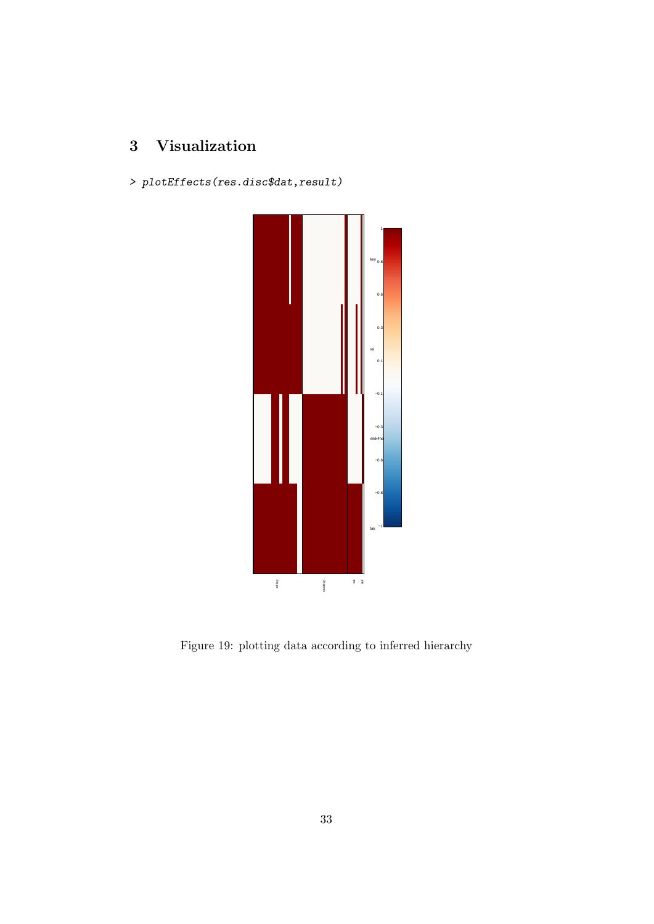# 3 Visualization

> plotEffects(res.disc\$dat,result)



Figure 19: plotting data according to inferred hierarchy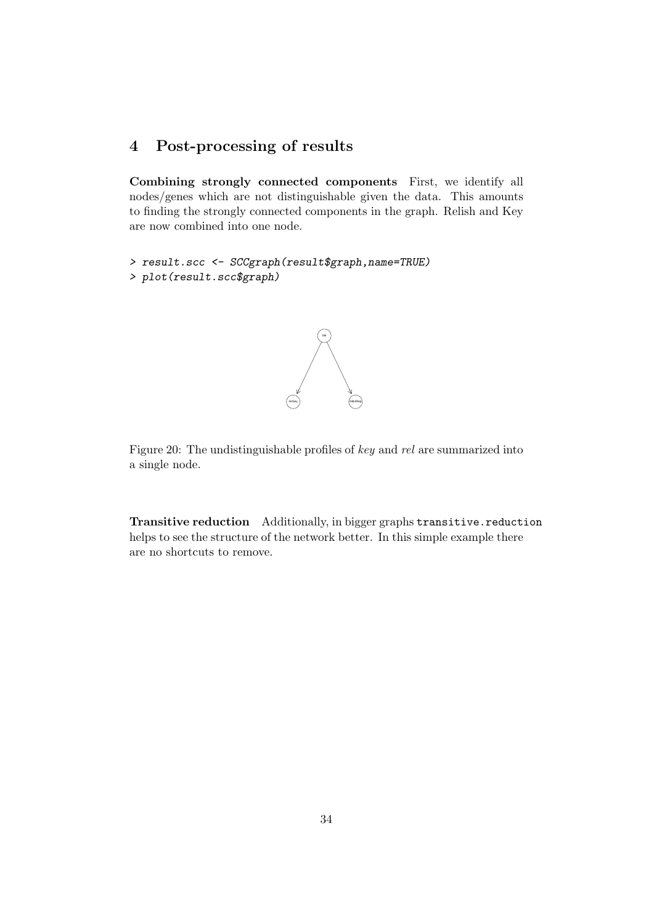# 4 Post-processing of results

Combining strongly connected components First, we identify all nodes/genes which are not distinguishable given the data. This amounts to finding the strongly connected components in the graph. Relish and Key are now combined into one node.

```
> result.scc <- SCCgraph(result$graph,name=TRUE)
> plot(result.scc$graph)
```


Figure 20: The undistinguishable profiles of key and rel are summarized into a single node.

Transitive reduction Additionally, in bigger graphs transitive.reduction helps to see the structure of the network better. In this simple example there are no shortcuts to remove.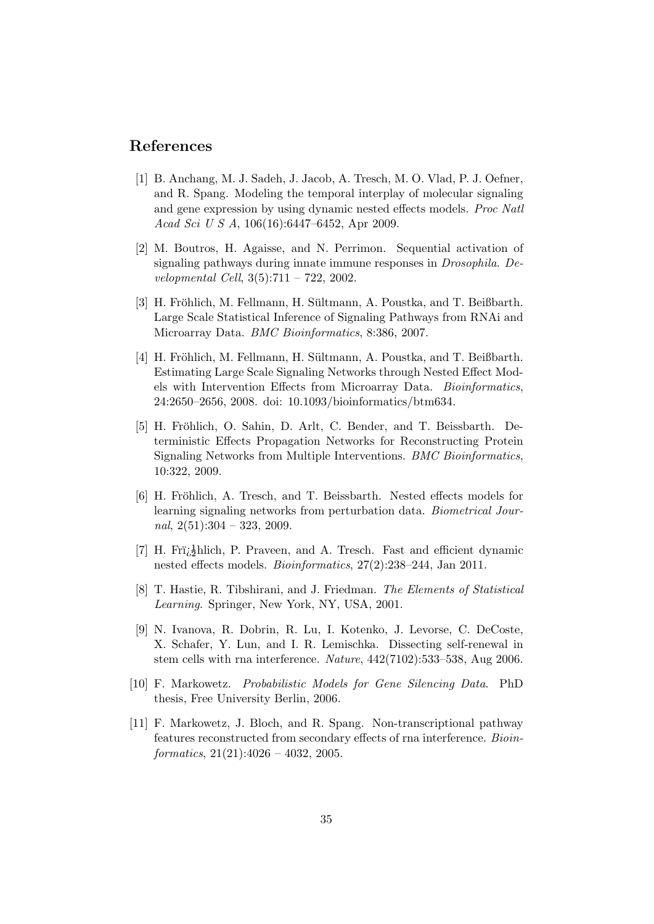# References

- [1] B. Anchang, M. J. Sadeh, J. Jacob, A. Tresch, M. O. Vlad, P. J. Oefner, and R. Spang. Modeling the temporal interplay of molecular signaling and gene expression by using dynamic nested effects models. Proc Natl Acad Sci U S A, 106(16):6447–6452, Apr 2009.
- [2] M. Boutros, H. Agaisse, and N. Perrimon. Sequential activation of signaling pathways during innate immune responses in Drosophila. Developmental Cell, 3(5):711 – 722, 2002.
- [3] H. Fröhlich, M. Fellmann, H. Sültmann, A. Poustka, and T. Beißbarth. Large Scale Statistical Inference of Signaling Pathways from RNAi and Microarray Data. BMC Bioinformatics, 8:386, 2007.
- [4] H. Fröhlich, M. Fellmann, H. Sültmann, A. Poustka, and T. Beißbarth. Estimating Large Scale Signaling Networks through Nested Effect Models with Intervention Effects from Microarray Data. Bioinformatics, 24:2650–2656, 2008. doi: 10.1093/bioinformatics/btm634.
- [5] H. Fröhlich, O. Sahin, D. Arlt, C. Bender, and T. Beissbarth. Deterministic Effects Propagation Networks for Reconstructing Protein Signaling Networks from Multiple Interventions. BMC Bioinformatics, 10:322, 2009.
- [6] H. Fröhlich, A. Tresch, and T. Beissbarth. Nested effects models for learning signaling networks from perturbation data. Biometrical Journal,  $2(51):304 - 323$ ,  $2009$ .
- [7] H. Fri<sub>l</sub><sup>1</sup>/<sub>2</sub>hlich, P. Praveen, and A. Tresch. Fast and efficient dynamic nested effects models. Bioinformatics, 27(2):238–244, Jan 2011.
- [8] T. Hastie, R. Tibshirani, and J. Friedman. The Elements of Statistical Learning. Springer, New York, NY, USA, 2001.
- [9] N. Ivanova, R. Dobrin, R. Lu, I. Kotenko, J. Levorse, C. DeCoste, X. Schafer, Y. Lun, and I. R. Lemischka. Dissecting self-renewal in stem cells with rna interference. Nature, 442(7102):533–538, Aug 2006.
- [10] F. Markowetz. Probabilistic Models for Gene Silencing Data. PhD thesis, Free University Berlin, 2006.
- [11] F. Markowetz, J. Bloch, and R. Spang. Non-transcriptional pathway features reconstructed from secondary effects of rna interference. Bioin $formatics, 21(21):4026 - 4032, 2005.$